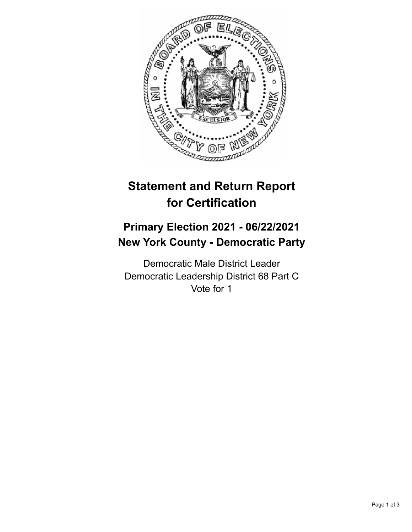

## **Statement and Return Report for Certification**

## **Primary Election 2021 - 06/22/2021 New York County - Democratic Party**

Democratic Male District Leader Democratic Leadership District 68 Part C Vote for 1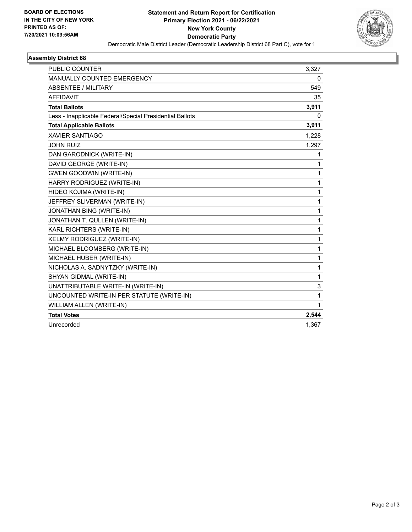

## **Assembly District 68**

| <b>PUBLIC COUNTER</b>                                    | 3,327 |
|----------------------------------------------------------|-------|
| <b>MANUALLY COUNTED EMERGENCY</b>                        | 0     |
| ABSENTEE / MILITARY                                      | 549   |
| <b>AFFIDAVIT</b>                                         | 35    |
| <b>Total Ballots</b>                                     | 3,911 |
| Less - Inapplicable Federal/Special Presidential Ballots | 0     |
| <b>Total Applicable Ballots</b>                          | 3,911 |
| <b>XAVIER SANTIAGO</b>                                   | 1,228 |
| <b>JOHN RUIZ</b>                                         | 1,297 |
| DAN GARODNICK (WRITE-IN)                                 | 1     |
| DAVID GEORGE (WRITE-IN)                                  | 1     |
| <b>GWEN GOODWIN (WRITE-IN)</b>                           | 1     |
| HARRY RODRIGUEZ (WRITE-IN)                               | 1     |
| HIDEO KOJIMA (WRITE-IN)                                  | 1     |
| JEFFREY SLIVERMAN (WRITE-IN)                             | 1     |
| JONATHAN BING (WRITE-IN)                                 | 1     |
| JONATHAN T. QULLEN (WRITE-IN)                            | 1     |
| KARL RICHTERS (WRITE-IN)                                 | 1     |
| KELMY RODRIGUEZ (WRITE-IN)                               | 1     |
| MICHAEL BLOOMBERG (WRITE-IN)                             | 1     |
| MICHAEL HUBER (WRITE-IN)                                 | 1     |
| NICHOLAS A. SADNYTZKY (WRITE-IN)                         | 1     |
| SHYAN GIDMAL (WRITE-IN)                                  | 1     |
| UNATTRIBUTABLE WRITE-IN (WRITE-IN)                       | 3     |
| UNCOUNTED WRITE-IN PER STATUTE (WRITE-IN)                | 1     |
| WILLIAM ALLEN (WRITE-IN)                                 | 1     |
| <b>Total Votes</b>                                       | 2,544 |
| Unrecorded                                               | 1,367 |